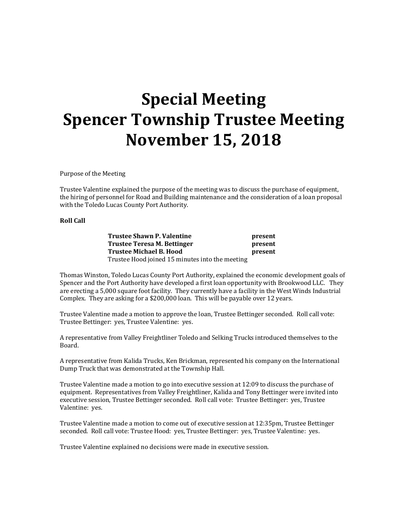## **Special Meeting Spencer Township Trustee Meeting November 15, 2018**

Purpose of the Meeting

Trustee Valentine explained the purpose of the meeting was to discuss the purchase of equipment, the hiring of personnel for Road and Building maintenance and the consideration of a loan proposal with the Toledo Lucas County Port Authority.

## **Roll Call**

**Trustee Shawn P. Valentine** *present* **Trustee Teresa M. Bettinger present Trustee Michael B. Hood present** Trustee Hood joined 15 minutes into the meeting

Thomas Winston, Toledo Lucas County Port Authority, explained the economic development goals of Spencer and the Port Authority have developed a first loan opportunity with Brookwood LLC. They are erecting a 5,000 square foot facility. They currently have a facility in the West Winds Industrial Complex. They are asking for a \$200,000 loan. This will be payable over 12 years.

Trustee Valentine made a motion to approve the loan, Trustee Bettinger seconded. Roll call vote: Trustee Bettinger: yes, Trustee Valentine: yes.

A representative from Valley Freightliner Toledo and Selking Trucks introduced themselves to the Board.

A representative from Kalida Trucks, Ken Brickman, represented his company on the International Dump Truck that was demonstrated at the Township Hall.

Trustee Valentine made a motion to go into executive session at 12:09 to discuss the purchase of equipment. Representatives from Valley Freightliner, Kalida and Tony Bettinger were invited into executive session, Trustee Bettinger seconded. Roll call vote: Trustee Bettinger: yes, Trustee Valentine: yes.

Trustee Valentine made a motion to come out of executive session at 12:35pm, Trustee Bettinger seconded. Roll call vote: Trustee Hood: yes, Trustee Bettinger: yes, Trustee Valentine: yes.

Trustee Valentine explained no decisions were made in executive session.